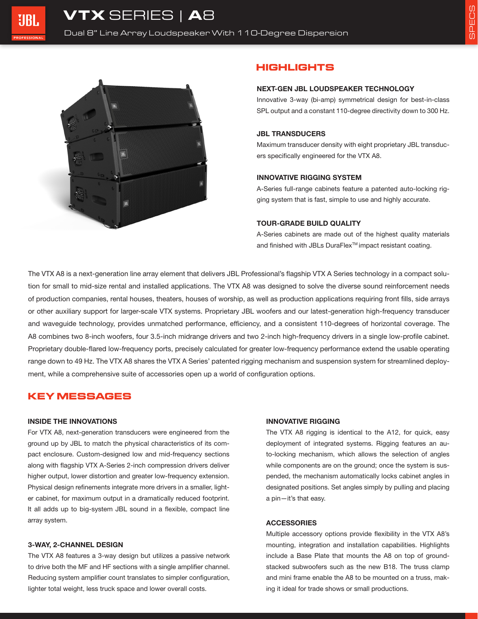

# **HIGHLIGHTS**

#### **NEXT-GEN JBL LOUDSPEAKER TECHNOLOGY**

Innovative 3-way (bi-amp) symmetrical design for best-in-class SPL output and a constant 110-degree directivity down to 300 Hz.

#### **JBL TRANSDUCERS**

Maximum transducer density with eight proprietary JBL transducers specifically engineered for the VTX A8.

### **INNOVATIVE RIGGING SYSTEM**

A-Series full-range cabinets feature a patented auto-locking rigging system that is fast, simple to use and highly accurate.

### **TOUR-GRADE BUILD QUALITY**

A-Series cabinets are made out of the highest quality materials and finished with JBLs DuraFlex<sup>™</sup> impact resistant coating.

The VTX A8 is a next-generation line array element that delivers JBL Professional's flagship VTX A Series technology in a compact solution for small to mid-size rental and installed applications. The VTX A8 was designed to solve the diverse sound reinforcement needs of production companies, rental houses, theaters, houses of worship, as well as production applications requiring front fills, side arrays or other auxiliary support for larger-scale VTX systems. Proprietary JBL woofers and our latest-generation high-frequency transducer and waveguide technology, provides unmatched performance, efficiency, and a consistent 110-degrees of horizontal coverage. The A8 combines two 8-inch woofers, four 3.5-inch midrange drivers and two 2-inch high-frequency drivers in a single low-profile cabinet. Proprietary double-flared low-frequency ports, precisely calculated for greater low-frequency performance extend the usable operating range down to 49 Hz. The VTX A8 shares the VTX A Series' patented rigging mechanism and suspension system for streamlined deployment, while a comprehensive suite of accessories open up a world of configuration options.

## **KEY MESSAGES**

#### **INSIDE THE INNOVATIONS**

For VTX A8, next-generation transducers were engineered from the ground up by JBL to match the physical characteristics of its compact enclosure. Custom-designed low and mid-frequency sections along with flagship VTX A-Series 2-inch compression drivers deliver higher output, lower distortion and greater low-frequency extension. Physical design refinements integrate more drivers in a smaller, lighter cabinet, for maximum output in a dramatically reduced footprint. It all adds up to big-system JBL sound in a flexible, compact line array system.

#### **3-WAY, 2-CHANNEL DESIGN**

The VTX A8 features a 3-way design but utilizes a passive network to drive both the MF and HF sections with a single amplifier channel. Reducing system amplifier count translates to simpler configuration, lighter total weight, less truck space and lower overall costs.

## **INNOVATIVE RIGGING**

The VTX A8 rigging is identical to the A12, for quick, easy deployment of integrated systems. Rigging features an auto-locking mechanism, which allows the selection of angles while components are on the ground; once the system is suspended, the mechanism automatically locks cabinet angles in designated positions. Set angles simply by pulling and placing a pin—it's that easy.

#### **ACCESSORIES**

Multiple accessory options provide flexibility in the VTX A8's mounting, integration and installation capabilities. Highlights include a Base Plate that mounts the A8 on top of groundstacked subwoofers such as the new B18. The truss clamp and mini frame enable the A8 to be mounted on a truss, making it ideal for trade shows or small productions.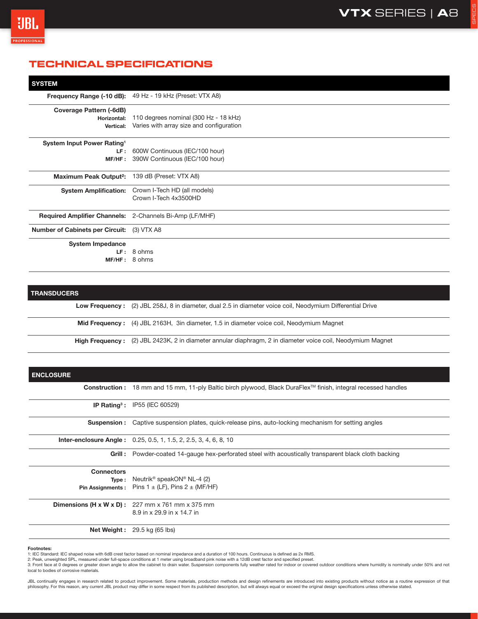SPECS

# **TECHNICAL SPECIFICATIONS**

| <b>SYSTEM</b>                                                  |                                                                                   |
|----------------------------------------------------------------|-----------------------------------------------------------------------------------|
|                                                                | Frequency Range (-10 dB): 49 Hz - 19 kHz (Preset: VTX A8)                         |
| <b>Coverage Pattern (-6dB)</b><br>Horizontal:<br>Vertical:     | 110 degrees nominal (300 Hz - 18 kHz)<br>Varies with array size and configuration |
| System Input Power Rating <sup>1</sup><br>LF:<br>MF/HF:        | 600W Continuous (IEC/100 hour)<br>390W Continuous (IEC/100 hour)                  |
| <b>Maximum Peak Output<sup>2</sup>:</b>                        | 139 dB (Preset: VTX A8)                                                           |
| <b>System Amplification:</b>                                   | Crown I-Tech HD (all models)<br>Crown I-Tech 4x3500HD                             |
| <b>Required Amplifier Channels:</b> 2-Channels Bi-Amp (LF/MHF) |                                                                                   |
| <b>Number of Cabinets per Circuit:</b>                         | (3) VTX A8                                                                        |
| <b>System Impedance</b><br>LF:<br>MF/HF:                       | 8 ohms<br>8 ohms                                                                  |

## **TRANSDUCERS**

**Low Frequency :** (2) JBL 258J, 8 in diameter, dual 2.5 in diameter voice coil, Neodymium Differential Drive

**Mid Frequency :** (4) JBL 2163H, 3in diameter, 1.5 in diameter voice coil, Neodymium Magnet

**High Frequency :** (2) JBL 2423K, 2 in diameter annular diaphragm, 2 in diameter voice coil, Neodymium Magnet

| <b>ENCLOSURE</b>  |                                                                                                               |
|-------------------|---------------------------------------------------------------------------------------------------------------|
|                   | Construction: 18 mm and 15 mm, 11-ply Baltic birch plywood, Black DuraFlex™ finish, integral recessed handles |
|                   | <b>IP Rating<sup>3</sup>: IP55 (IEC 60529)</b>                                                                |
|                   | <b>Suspension:</b> Captive suspension plates, quick-release pins, auto-locking mechanism for setting angles   |
|                   | <b>Inter-enclosure Angle:</b> 0.25, 0.5, 1, 1.5, 2, 2.5, 3, 4, 6, 8, 10                                       |
|                   | Grill : Powder-coated 14-gauge hex-perforated steel with acoustically transparent black cloth backing         |
| <b>Connectors</b> |                                                                                                               |
|                   | <b>Type:</b> Neutrik <sup>®</sup> speakON <sup>®</sup> NL-4 (2)                                               |
|                   | <b>Pin Assignments:</b> Pins $1 \pm (LF)$ , Pins $2 \pm (MF/HF)$                                              |
|                   | <b>Dimensions (H x W x D):</b> $227$ mm x 761 mm x 375 mm                                                     |
|                   | 8.9 in x 29.9 in x 14.7 in                                                                                    |
|                   | <b>Net Weight:</b> $29.5$ kg (65 lbs)                                                                         |

#### **Footnotes:**

1: IEC Standard: IEC shaped noise with 6dB crest factor based on nominal impedance and a duration of 100 hours. Continuous is defined as 2x RMS.<br>2: Peak, unweighted SPL, measured under full-space conditions at 1 meter usin

3: Front face at 0 degrees or greater down angle to allow the cabinet to drain water. Suspension components fully weather rated for indoor or covered outdoor conditions where humidity is nominally under 50% and not

philosophy. For this reason, any current JBL product may differ in some respect from its published description, but will always equal or exceed the original design specifications unless otherwise stated.

local to bodies of corrosive materials. JBL continually engages in research related to product improvement. Some materials, production methods and design refinements are introduced into existing products without notice as a routine expression of that